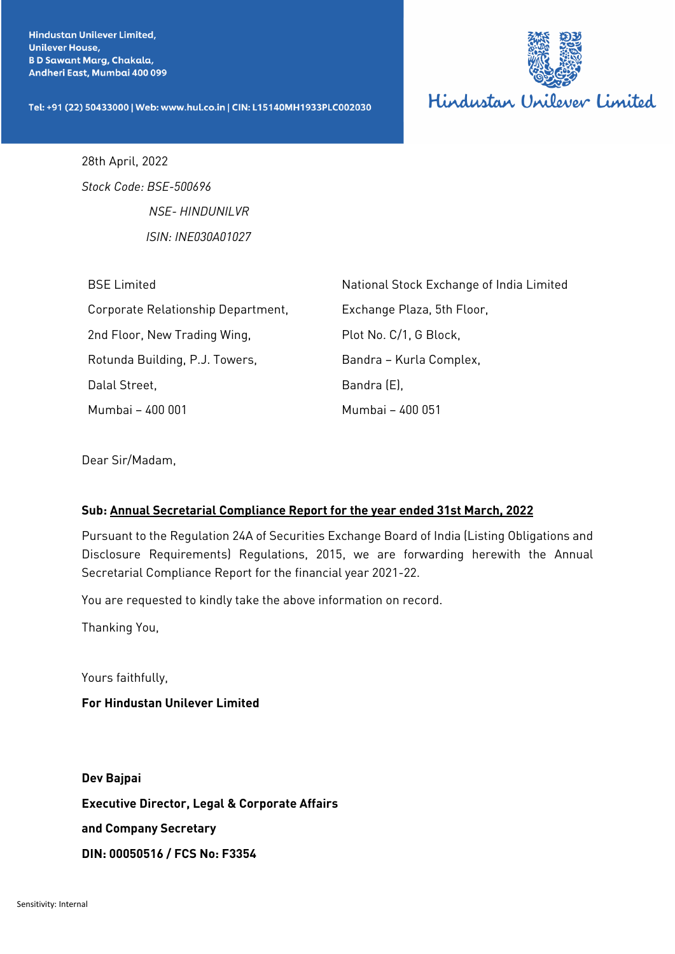Hindustan Unilever Limited, **Unilever House, B D Sawant Marg, Chakala,** Andheri East, Mumbai 400 099

Tel: +91 (22) 50433000 | Web: www.hul.co.in | CIN: L15140MH1933PLC002030



28th April, 2022 *Stock Code: BSE-500696 NSE- HINDUNILVR ISIN: INE030A01027*

| <b>BSE Limited</b>                 | National Stock Exchange of India Limited |
|------------------------------------|------------------------------------------|
| Corporate Relationship Department, | Exchange Plaza, 5th Floor,               |
| 2nd Floor, New Trading Wing,       | Plot No. C/1, G Block,                   |
| Rotunda Building, P.J. Towers,     | Bandra - Kurla Complex,                  |
| Dalal Street,                      | Bandra (E),                              |
| Mumbai - 400 001                   | Mumbai - 400 051                         |

Dear Sir/Madam,

### **Sub: Annual Secretarial Compliance Report for the year ended 31st March, 2022**

Pursuant to the Regulation 24A of Securities Exchange Board of India (Listing Obligations and Disclosure Requirements) Regulations, 2015, we are forwarding herewith the Annual Secretarial Compliance Report for the financial year 2021-22.

You are requested to kindly take the above information on record.

Thanking You,

Yours faithfully,

**For Hindustan Unilever Limited**

**Dev Bajpai Executive Director, Legal & Corporate Affairs and Company Secretary DIN: 00050516 / FCS No: F3354**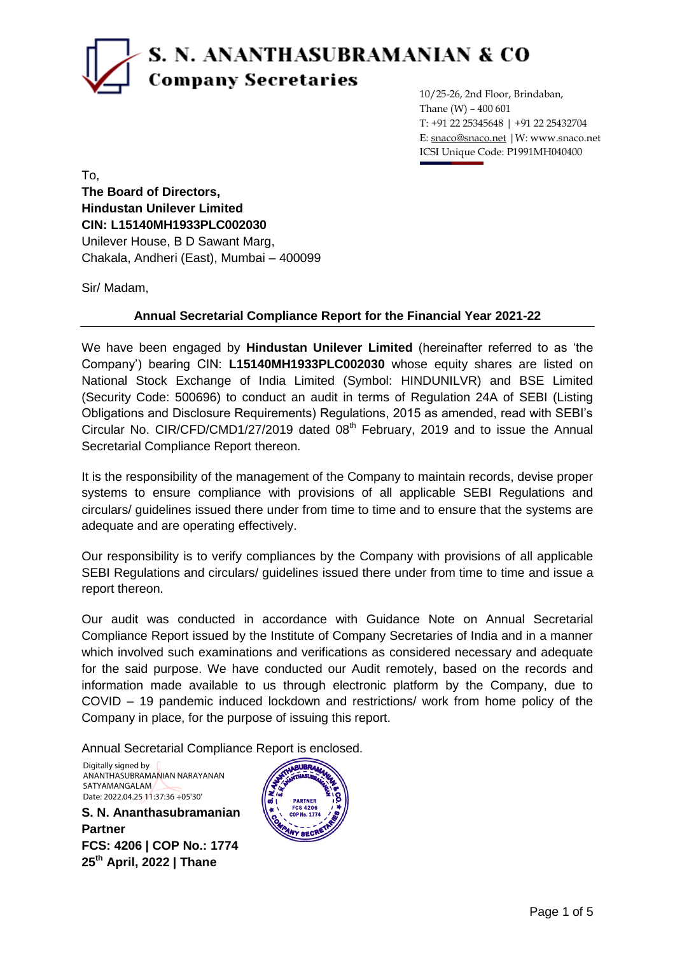# S. N. ANANTHASUBRAMANIAN & CO **Company Secretaries**

10/25-26, 2nd Floor, Brindaban, Thane (W) – 400 601 T: +91 22 25345648 | +91 22 25432704 E: snaco@snaco.net |W: www.snaco.net ICSI Unique Code: P1991MH040400

To, **The Board of Directors, Hindustan Unilever Limited CIN: L15140MH1933PLC002030** Unilever House, B D Sawant Marg, Chakala, Andheri (East), Mumbai – 400099

Sir/ Madam,

### **Annual Secretarial Compliance Report for the Financial Year 2021-22**

We have been engaged by **Hindustan Unilever Limited** (hereinafter referred to as 'the Company') bearing CIN: **L15140MH1933PLC002030** whose equity shares are listed on National Stock Exchange of India Limited (Symbol: HINDUNILVR) and BSE Limited (Security Code: 500696) to conduct an audit in terms of Regulation 24A of SEBI (Listing Obligations and Disclosure Requirements) Regulations, 2015 as amended, read with SEBI's Circular No. CIR/CFD/CMD1/27/2019 dated  $08<sup>th</sup>$  February, 2019 and to issue the Annual Secretarial Compliance Report thereon.

It is the responsibility of the management of the Company to maintain records, devise proper systems to ensure compliance with provisions of all applicable SEBI Regulations and circulars/ guidelines issued there under from time to time and to ensure that the systems are adequate and are operating effectively.

Our responsibility is to verify compliances by the Company with provisions of all applicable SEBI Regulations and circulars/ guidelines issued there under from time to time and issue a report thereon.

Our audit was conducted in accordance with Guidance Note on Annual Secretarial Compliance Report issued by the Institute of Company Secretaries of India and in a manner which involved such examinations and verifications as considered necessary and adequate for the said purpose. We have conducted our Audit remotely, based on the records and information made available to us through electronic platform by the Company, due to COVID – 19 pandemic induced lockdown and restrictions/ work from home policy of the Company in place, for the purpose of issuing this report.

Annual Secretarial Compliance Report is enclosed.

Digitally signed by ANANTHASUBRAMANIAN NARAYANAN SATYAMANGALAM Date: 2022.04.25 11:37:36 +05'30'

**S. N. Ananthasubramanian Partner FCS: 4206 | COP No.: 1774 25th April, 2022 | Thane**

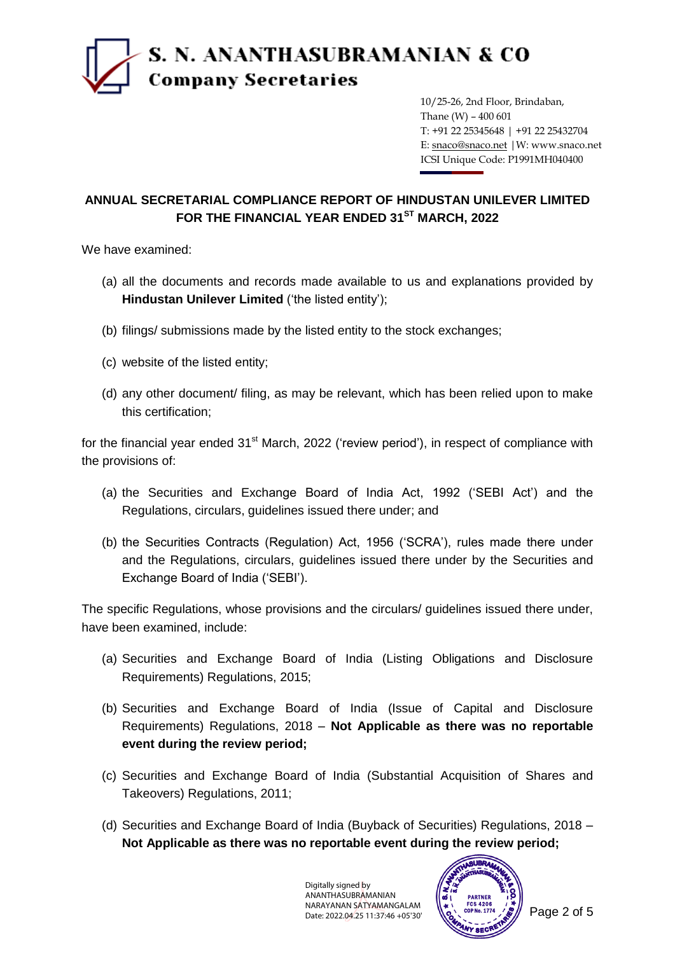

10/25-26, 2nd Floor, Brindaban, Thane (W) – 400 601 T: +91 22 25345648 | +91 22 25432704 E: snaco@snaco.net |W: www.snaco.net ICSI Unique Code: P1991MH040400

## **ANNUAL SECRETARIAL COMPLIANCE REPORT OF HINDUSTAN UNILEVER LIMITED FOR THE FINANCIAL YEAR ENDED 31ST MARCH, 2022**

We have examined:

- (a) all the documents and records made available to us and explanations provided by **Hindustan Unilever Limited** ('the listed entity');
- (b) filings/ submissions made by the listed entity to the stock exchanges;
- (c) website of the listed entity;
- (d) any other document/ filing, as may be relevant, which has been relied upon to make this certification;

for the financial year ended  $31<sup>st</sup>$  March, 2022 ('review period'), in respect of compliance with the provisions of:

- (a) the Securities and Exchange Board of India Act, 1992 ('SEBI Act') and the Regulations, circulars, guidelines issued there under; and
- (b) the Securities Contracts (Regulation) Act, 1956 ('SCRA'), rules made there under and the Regulations, circulars, guidelines issued there under by the Securities and Exchange Board of India ('SEBI').

The specific Regulations, whose provisions and the circulars/ guidelines issued there under, have been examined, include:

- (a) Securities and Exchange Board of India (Listing Obligations and Disclosure Requirements) Regulations, 2015;
- (b) Securities and Exchange Board of India (Issue of Capital and Disclosure Requirements) Regulations, 2018 – **Not Applicable as there was no reportable event during the review period;**
- (c) Securities and Exchange Board of India (Substantial Acquisition of Shares and Takeovers) Regulations, 2011;
- (d) Securities and Exchange Board of India (Buyback of Securities) Regulations, 2018 **Not Applicable as there was no reportable event during the review period;**

Digitally signed by ANANTHASUBRAMANIAN NARAYANAN SATYAMANGALAM Date: 2022.04.25 11:37:46 +05'30'

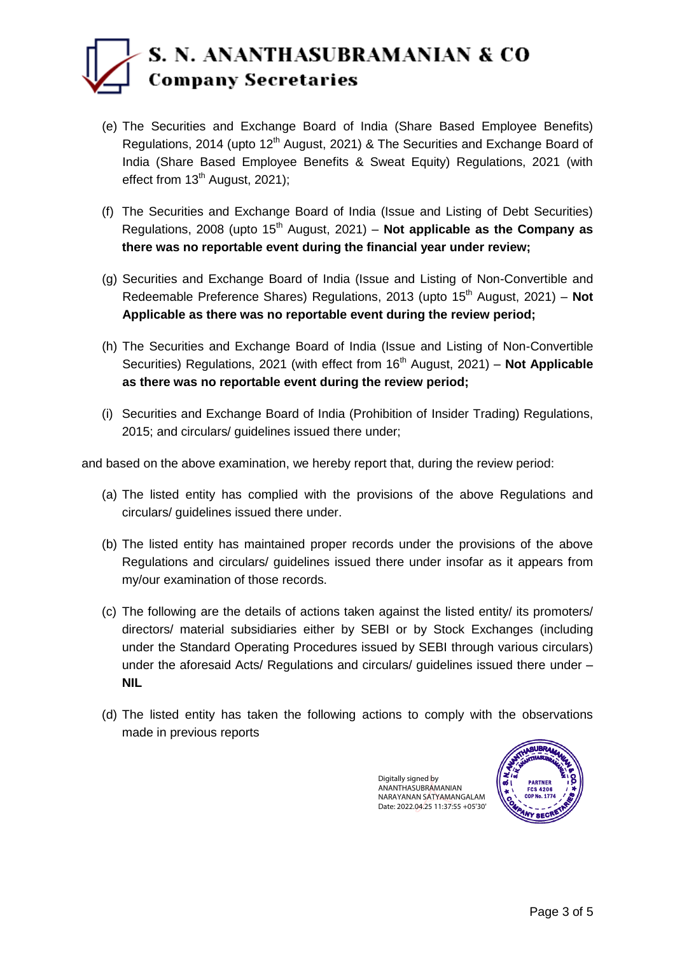## S. N. ANANTHASUBRAMANIAN & CO **Company Secretaries**

- (e) The Securities and Exchange Board of India (Share Based Employee Benefits) Regulations, 2014 (upto 12<sup>th</sup> August, 2021) & The Securities and Exchange Board of India (Share Based Employee Benefits & Sweat Equity) Regulations, 2021 (with effect from  $13<sup>th</sup>$  August, 2021);
- (f) The Securities and Exchange Board of India (Issue and Listing of Debt Securities) Regulations, 2008 (upto  $15<sup>th</sup>$  August, 2021) – **Not applicable as the Company as there was no reportable event during the financial year under review;**
- (g) Securities and Exchange Board of India (Issue and Listing of Non-Convertible and Redeemable Preference Shares) Regulations, 2013 (upto 15<sup>th</sup> August, 2021) – **Not Applicable as there was no reportable event during the review period;**
- (h) The Securities and Exchange Board of India (Issue and Listing of Non-Convertible Securities) Regulations, 2021 (with effect from 16<sup>th</sup> August, 2021) – **Not Applicable as there was no reportable event during the review period;**
- (i) Securities and Exchange Board of India (Prohibition of Insider Trading) Regulations, 2015; and circulars/ guidelines issued there under;

and based on the above examination, we hereby report that, during the review period:

- (a) The listed entity has complied with the provisions of the above Regulations and circulars/ guidelines issued there under.
- (b) The listed entity has maintained proper records under the provisions of the above Regulations and circulars/ guidelines issued there under insofar as it appears from my/our examination of those records.
- (c) The following are the details of actions taken against the listed entity/ its promoters/ directors/ material subsidiaries either by SEBI or by Stock Exchanges (including under the Standard Operating Procedures issued by SEBI through various circulars) under the aforesaid Acts/ Regulations and circulars/ guidelines issued there under – **NIL**
- (d) The listed entity has taken the following actions to comply with the observations made in previous reports

Digitally signed by ANANTHASUBRAMANIAN NARAYANAN SATYAMANGALAM Date: 2022.04.25 11:37:55 +05'30'

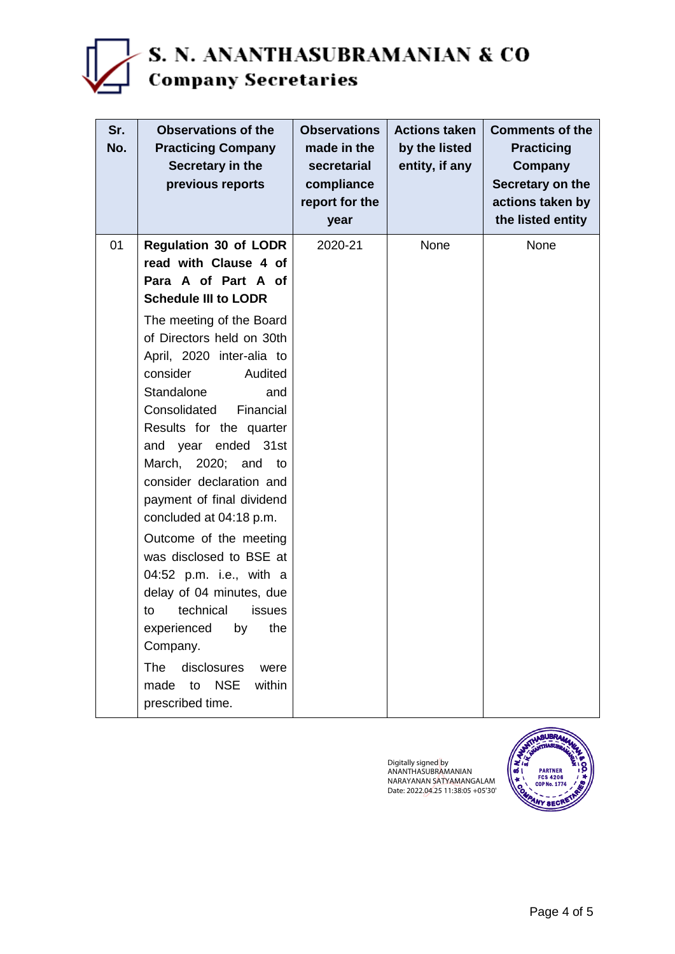

| Sr.<br>No. | <b>Observations of the</b><br><b>Practicing Company</b><br>Secretary in the<br>previous reports | <b>Observations</b><br>made in the<br>secretarial<br>compliance<br>report for the<br>year | <b>Actions taken</b><br>by the listed<br>entity, if any | <b>Comments of the</b><br><b>Practicing</b><br>Company<br>Secretary on the<br>actions taken by<br>the listed entity |
|------------|-------------------------------------------------------------------------------------------------|-------------------------------------------------------------------------------------------|---------------------------------------------------------|---------------------------------------------------------------------------------------------------------------------|
| 01         | <b>Regulation 30 of LODR</b>                                                                    | 2020-21                                                                                   | None                                                    | None                                                                                                                |
|            | read with Clause 4 of                                                                           |                                                                                           |                                                         |                                                                                                                     |
|            | Para A of Part A of                                                                             |                                                                                           |                                                         |                                                                                                                     |
|            | <b>Schedule III to LODR</b>                                                                     |                                                                                           |                                                         |                                                                                                                     |
|            | The meeting of the Board                                                                        |                                                                                           |                                                         |                                                                                                                     |
|            | of Directors held on 30th<br>April, 2020 inter-alia to                                          |                                                                                           |                                                         |                                                                                                                     |
|            | consider<br>Audited                                                                             |                                                                                           |                                                         |                                                                                                                     |
|            | Standalone<br>and                                                                               |                                                                                           |                                                         |                                                                                                                     |
|            | Financial<br>Consolidated                                                                       |                                                                                           |                                                         |                                                                                                                     |
|            | Results for the quarter                                                                         |                                                                                           |                                                         |                                                                                                                     |
|            | and year ended 31st                                                                             |                                                                                           |                                                         |                                                                                                                     |
|            | March, 2020; and to                                                                             |                                                                                           |                                                         |                                                                                                                     |
|            | consider declaration and                                                                        |                                                                                           |                                                         |                                                                                                                     |
|            | payment of final dividend                                                                       |                                                                                           |                                                         |                                                                                                                     |
|            | concluded at 04:18 p.m.                                                                         |                                                                                           |                                                         |                                                                                                                     |
|            | Outcome of the meeting                                                                          |                                                                                           |                                                         |                                                                                                                     |
|            | was disclosed to BSE at<br>04:52 p.m. i.e., with a                                              |                                                                                           |                                                         |                                                                                                                     |
|            | delay of 04 minutes, due                                                                        |                                                                                           |                                                         |                                                                                                                     |
|            | technical<br>issues<br>to                                                                       |                                                                                           |                                                         |                                                                                                                     |
|            | experienced by the                                                                              |                                                                                           |                                                         |                                                                                                                     |
|            | Company.                                                                                        |                                                                                           |                                                         |                                                                                                                     |
|            | <b>The</b><br>disclosures<br>were                                                               |                                                                                           |                                                         |                                                                                                                     |
|            | <b>NSE</b><br>within<br>made<br>to                                                              |                                                                                           |                                                         |                                                                                                                     |
|            | prescribed time.                                                                                |                                                                                           |                                                         |                                                                                                                     |

Digitally signed by ANANTHASUBRAMANIAN NARAYANAN SATYAMANGALAM Date: 2022.04.25 11:38:05 +05'30'